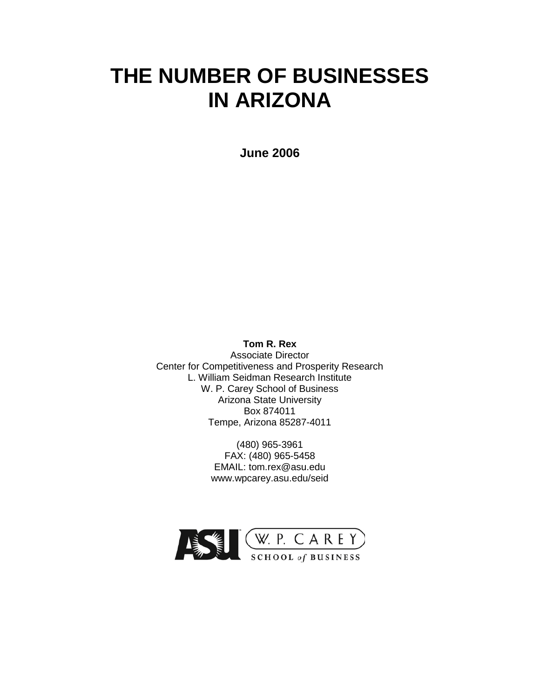# **THE NUMBER OF BUSINESSES IN ARIZONA**

**June 2006**

**Tom R. Rex** Associate Director Center for Competitiveness and Prosperity Research L. William Seidman Research Institute W. P. Carey School of Business Arizona State University Box 874011 Tempe, Arizona 85287-4011

> (480) 965-3961 FAX: (480) 965-5458 EMAIL: tom.rex@asu.edu www.wpcarey.asu.edu/seid

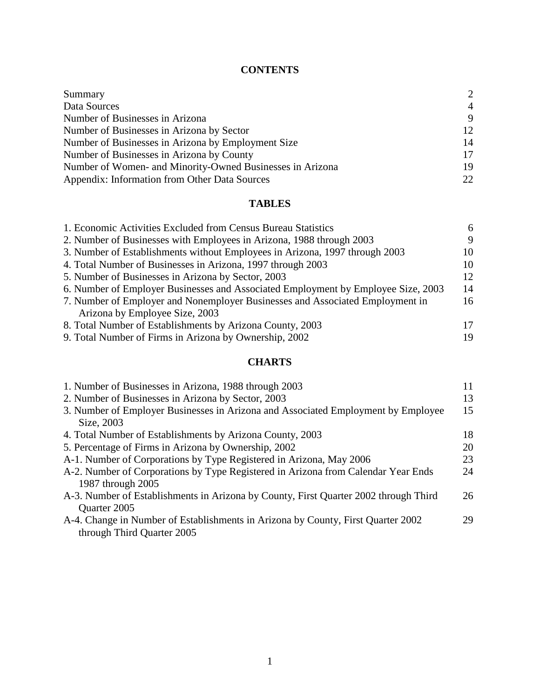# **CONTENTS**

| Summary                                                   | $\mathcal{D}$  |
|-----------------------------------------------------------|----------------|
| Data Sources                                              | $\overline{4}$ |
| Number of Businesses in Arizona                           | 9              |
| Number of Businesses in Arizona by Sector                 | 12             |
| Number of Businesses in Arizona by Employment Size        | 14             |
| Number of Businesses in Arizona by County                 | 17             |
| Number of Women- and Minority-Owned Businesses in Arizona | 19             |
| Appendix: Information from Other Data Sources             | 22             |

# **TABLES**

| 1. Economic Activities Excluded from Census Bureau Statistics                     | 6  |
|-----------------------------------------------------------------------------------|----|
| 2. Number of Businesses with Employees in Arizona, 1988 through 2003              | 9  |
| 3. Number of Establishments without Employees in Arizona, 1997 through 2003       | 10 |
| 4. Total Number of Businesses in Arizona, 1997 through 2003                       | 10 |
| 5. Number of Businesses in Arizona by Sector, 2003                                | 12 |
| 6. Number of Employer Businesses and Associated Employment by Employee Size, 2003 | 14 |
| 7. Number of Employer and Nonemployer Businesses and Associated Employment in     | 16 |
| Arizona by Employee Size, 2003                                                    |    |
| 8. Total Number of Establishments by Arizona County, 2003                         | 17 |
| 9. Total Number of Firms in Arizona by Ownership, 2002                            | 19 |
|                                                                                   |    |

# **CHARTS**

| 1. Number of Businesses in Arizona, 1988 through 2003                                | 11 |
|--------------------------------------------------------------------------------------|----|
| 2. Number of Businesses in Arizona by Sector, 2003                                   | 13 |
| 3. Number of Employer Businesses in Arizona and Associated Employment by Employee    | 15 |
| Size, 2003                                                                           |    |
| 4. Total Number of Establishments by Arizona County, 2003                            | 18 |
| 5. Percentage of Firms in Arizona by Ownership, 2002                                 | 20 |
| A-1. Number of Corporations by Type Registered in Arizona, May 2006                  | 23 |
| A-2. Number of Corporations by Type Registered in Arizona from Calendar Year Ends    | 24 |
| 1987 through 2005                                                                    |    |
| A-3. Number of Establishments in Arizona by County, First Quarter 2002 through Third | 26 |
| Quarter 2005                                                                         |    |
| A-4. Change in Number of Establishments in Arizona by County, First Quarter 2002     | 29 |
| through Third Quarter 2005                                                           |    |
|                                                                                      |    |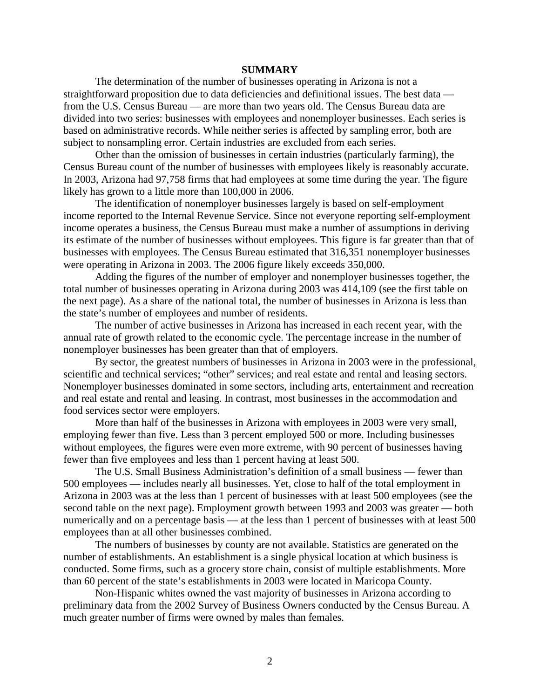#### **SUMMARY**

The determination of the number of businesses operating in Arizona is not a straightforward proposition due to data deficiencies and definitional issues. The best data from the U.S. Census Bureau — are more than two years old. The Census Bureau data are divided into two series: businesses with employees and nonemployer businesses. Each series is based on administrative records. While neither series is affected by sampling error, both are subject to nonsampling error. Certain industries are excluded from each series.

Other than the omission of businesses in certain industries (particularly farming), the Census Bureau count of the number of businesses with employees likely is reasonably accurate. In 2003, Arizona had 97,758 firms that had employees at some time during the year. The figure likely has grown to a little more than 100,000 in 2006.

The identification of nonemployer businesses largely is based on self-employment income reported to the Internal Revenue Service. Since not everyone reporting self-employment income operates a business, the Census Bureau must make a number of assumptions in deriving its estimate of the number of businesses without employees. This figure is far greater than that of businesses with employees. The Census Bureau estimated that 316,351 nonemployer businesses were operating in Arizona in 2003. The 2006 figure likely exceeds 350,000.

Adding the figures of the number of employer and nonemployer businesses together, the total number of businesses operating in Arizona during 2003 was 414,109 (see the first table on the next page). As a share of the national total, the number of businesses in Arizona is less than the state's number of employees and number of residents.

The number of active businesses in Arizona has increased in each recent year, with the annual rate of growth related to the economic cycle. The percentage increase in the number of nonemployer businesses has been greater than that of employers.

By sector, the greatest numbers of businesses in Arizona in 2003 were in the professional, scientific and technical services; "other" services; and real estate and rental and leasing sectors. Nonemployer businesses dominated in some sectors, including arts, entertainment and recreation and real estate and rental and leasing. In contrast, most businesses in the accommodation and food services sector were employers.

More than half of the businesses in Arizona with employees in 2003 were very small, employing fewer than five. Less than 3 percent employed 500 or more. Including businesses without employees, the figures were even more extreme, with 90 percent of businesses having fewer than five employees and less than 1 percent having at least 500.

The U.S. Small Business Administration's definition of a small business — fewer than 500 employees — includes nearly all businesses. Yet, close to half of the total employment in Arizona in 2003 was at the less than 1 percent of businesses with at least 500 employees (see the second table on the next page). Employment growth between 1993 and 2003 was greater — both numerically and on a percentage basis — at the less than 1 percent of businesses with at least 500 employees than at all other businesses combined.

The numbers of businesses by county are not available. Statistics are generated on the number of establishments. An establishment is a single physical location at which business is conducted. Some firms, such as a grocery store chain, consist of multiple establishments. More than 60 percent of the state's establishments in 2003 were located in Maricopa County.

Non-Hispanic whites owned the vast majority of businesses in Arizona according to preliminary data from the 2002 Survey of Business Owners conducted by the Census Bureau. A much greater number of firms were owned by males than females.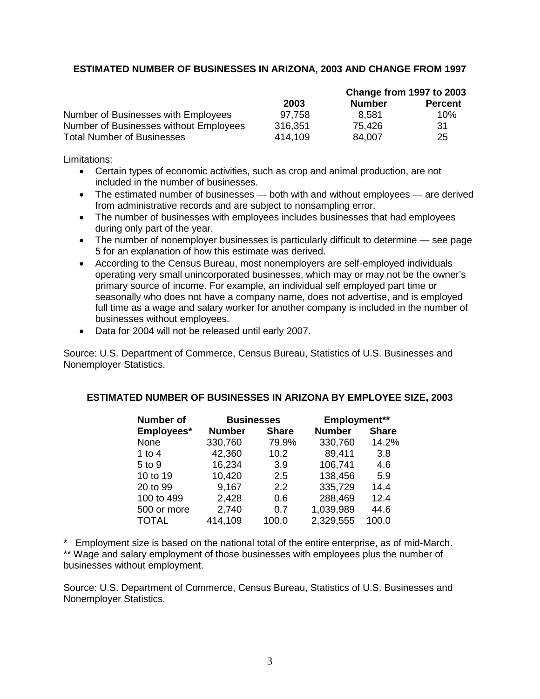# **ESTIMATED NUMBER OF BUSINESSES IN ARIZONA, 2003 AND CHANGE FROM 1997**

|                                        |         |               | Change from 1997 to 2003 |  |
|----------------------------------------|---------|---------------|--------------------------|--|
|                                        | 2003    | <b>Number</b> | <b>Percent</b>           |  |
| Number of Businesses with Employees    | 97.758  | 8.581         | 10%                      |  |
| Number of Businesses without Employees | 316,351 | 75.426        | -31                      |  |
| <b>Total Number of Businesses</b>      | 414.109 | 84.007        | 25                       |  |

Limitations:

- Certain types of economic activities, such as crop and animal production, are not included in the number of businesses.
- The estimated number of businesses both with and without employees are derived from administrative records and are subject to nonsampling error.
- The number of businesses with employees includes businesses that had employees during only part of the year.
- The number of nonemployer businesses is particularly difficult to determine see page 5 for an explanation of how this estimate was derived.
- According to the Census Bureau, most nonemployers are self-employed individuals operating very small unincorporated businesses, which may or may not be the owner's primary source of income. For example, an individual self employed part time or seasonally who does not have a company name, does not advertise, and is employed full time as a wage and salary worker for another company is included in the number of businesses without employees.
- Data for 2004 will not be released until early 2007.

Source: U.S. Department of Commerce, Census Bureau, Statistics of U.S. Businesses and Nonemployer Statistics.

#### **ESTIMATED NUMBER OF BUSINESSES IN ARIZONA BY EMPLOYEE SIZE, 2003**

| Number of    | <b>Businesses</b> |              | Employment**  |              |
|--------------|-------------------|--------------|---------------|--------------|
| Employees*   | <b>Number</b>     | <b>Share</b> | <b>Number</b> | <b>Share</b> |
| None         | 330,760           | 79.9%        | 330,760       | 14.2%        |
| 1 to 4       | 42,360            | 10.2         | 89,411        | 3.8          |
| 5 to 9       | 16,234            | 3.9          | 106,741       | 4.6          |
| 10 to 19     | 10,420            | 2.5          | 138,456       | 5.9          |
| 20 to 99     | 9,167             | 2.2          | 335,729       | 14.4         |
| 100 to 499   | 2,428             | 0.6          | 288,469       | 12.4         |
| 500 or more  | 2,740             | 0.7          | 1,039,989     | 44.6         |
| <b>TOTAL</b> | 414,109           | 100.0        | 2,329,555     | 100.0        |

\* Employment size is based on the national total of the entire enterprise, as of mid-March. \*\* Wage and salary employment of those businesses with employees plus the number of businesses without employment.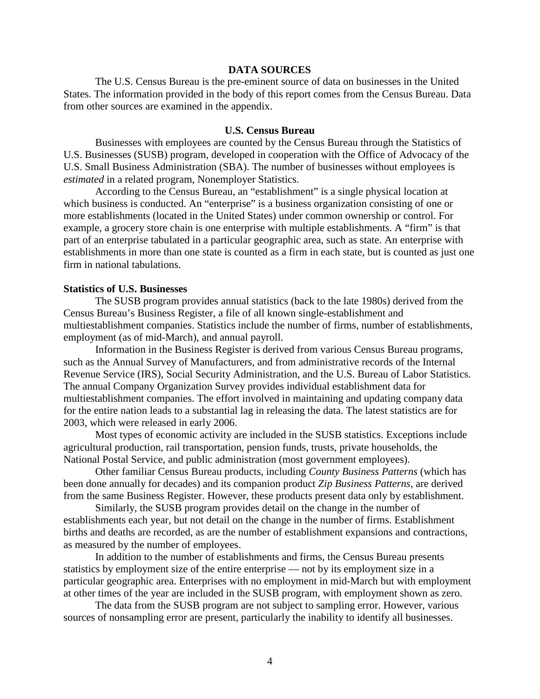#### **DATA SOURCES**

The U.S. Census Bureau is the pre-eminent source of data on businesses in the United States. The information provided in the body of this report comes from the Census Bureau. Data from other sources are examined in the appendix.

#### **U.S. Census Bureau**

Businesses with employees are counted by the Census Bureau through the Statistics of U.S. Businesses (SUSB) program, developed in cooperation with the Office of Advocacy of the U.S. Small Business Administration (SBA). The number of businesses without employees is *estimated* in a related program, Nonemployer Statistics.

According to the Census Bureau, an "establishment" is a single physical location at which business is conducted. An "enterprise" is a business organization consisting of one or more establishments (located in the United States) under common ownership or control. For example, a grocery store chain is one enterprise with multiple establishments. A "firm" is that part of an enterprise tabulated in a particular geographic area, such as state. An enterprise with establishments in more than one state is counted as a firm in each state, but is counted as just one firm in national tabulations.

## **Statistics of U.S. Businesses**

The SUSB program provides annual statistics (back to the late 1980s) derived from the Census Bureau's Business Register, a file of all known single-establishment and multiestablishment companies. Statistics include the number of firms, number of establishments, employment (as of mid-March), and annual payroll.

Information in the Business Register is derived from various Census Bureau programs, such as the Annual Survey of Manufacturers, and from administrative records of the Internal Revenue Service (IRS), Social Security Administration, and the U.S. Bureau of Labor Statistics. The annual Company Organization Survey provides individual establishment data for multiestablishment companies. The effort involved in maintaining and updating company data for the entire nation leads to a substantial lag in releasing the data. The latest statistics are for 2003, which were released in early 2006.

Most types of economic activity are included in the SUSB statistics. Exceptions include agricultural production, rail transportation, pension funds, trusts, private households, the National Postal Service, and public administration (most government employees).

Other familiar Census Bureau products, including *County Business Patterns* (which has been done annually for decades) and its companion product *Zip Business Patterns*, are derived from the same Business Register. However, these products present data only by establishment.

Similarly, the SUSB program provides detail on the change in the number of establishments each year, but not detail on the change in the number of firms. Establishment births and deaths are recorded, as are the number of establishment expansions and contractions, as measured by the number of employees.

In addition to the number of establishments and firms, the Census Bureau presents statistics by employment size of the entire enterprise — not by its employment size in a particular geographic area. Enterprises with no employment in mid-March but with employment at other times of the year are included in the SUSB program, with employment shown as zero.

The data from the SUSB program are not subject to sampling error. However, various sources of nonsampling error are present, particularly the inability to identify all businesses.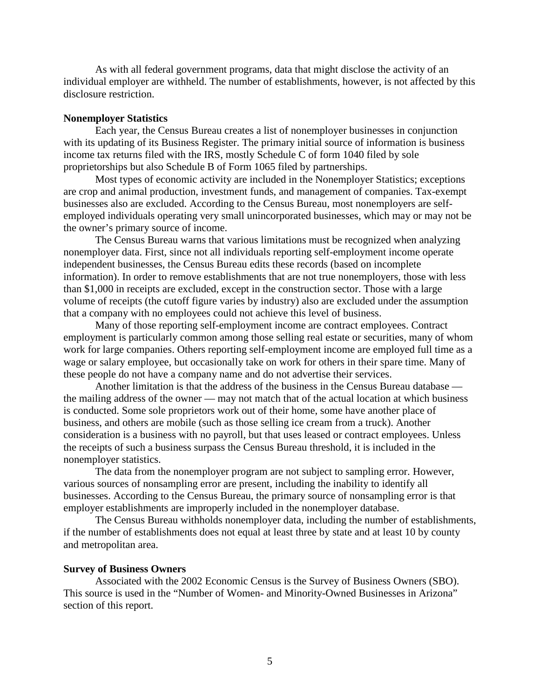As with all federal government programs, data that might disclose the activity of an individual employer are withheld. The number of establishments, however, is not affected by this disclosure restriction.

#### **Nonemployer Statistics**

Each year, the Census Bureau creates a list of nonemployer businesses in conjunction with its updating of its Business Register. The primary initial source of information is business income tax returns filed with the IRS, mostly Schedule C of form 1040 filed by sole proprietorships but also Schedule B of Form 1065 filed by partnerships.

Most types of economic activity are included in the Nonemployer Statistics; exceptions are crop and animal production, investment funds, and management of companies. Tax-exempt businesses also are excluded. According to the Census Bureau, most nonemployers are selfemployed individuals operating very small unincorporated businesses, which may or may not be the owner's primary source of income.

The Census Bureau warns that various limitations must be recognized when analyzing nonemployer data. First, since not all individuals reporting self-employment income operate independent businesses, the Census Bureau edits these records (based on incomplete information). In order to remove establishments that are not true nonemployers, those with less than \$1,000 in receipts are excluded, except in the construction sector. Those with a large volume of receipts (the cutoff figure varies by industry) also are excluded under the assumption that a company with no employees could not achieve this level of business.

Many of those reporting self-employment income are contract employees. Contract employment is particularly common among those selling real estate or securities, many of whom work for large companies. Others reporting self-employment income are employed full time as a wage or salary employee, but occasionally take on work for others in their spare time. Many of these people do not have a company name and do not advertise their services.

Another limitation is that the address of the business in the Census Bureau database the mailing address of the owner — may not match that of the actual location at which business is conducted. Some sole proprietors work out of their home, some have another place of business, and others are mobile (such as those selling ice cream from a truck). Another consideration is a business with no payroll, but that uses leased or contract employees. Unless the receipts of such a business surpass the Census Bureau threshold, it is included in the nonemployer statistics.

The data from the nonemployer program are not subject to sampling error. However, various sources of nonsampling error are present, including the inability to identify all businesses. According to the Census Bureau, the primary source of nonsampling error is that employer establishments are improperly included in the nonemployer database.

The Census Bureau withholds nonemployer data, including the number of establishments, if the number of establishments does not equal at least three by state and at least 10 by county and metropolitan area.

#### **Survey of Business Owners**

Associated with the 2002 Economic Census is the Survey of Business Owners (SBO). This source is used in the "Number of Women- and Minority-Owned Businesses in Arizona" section of this report.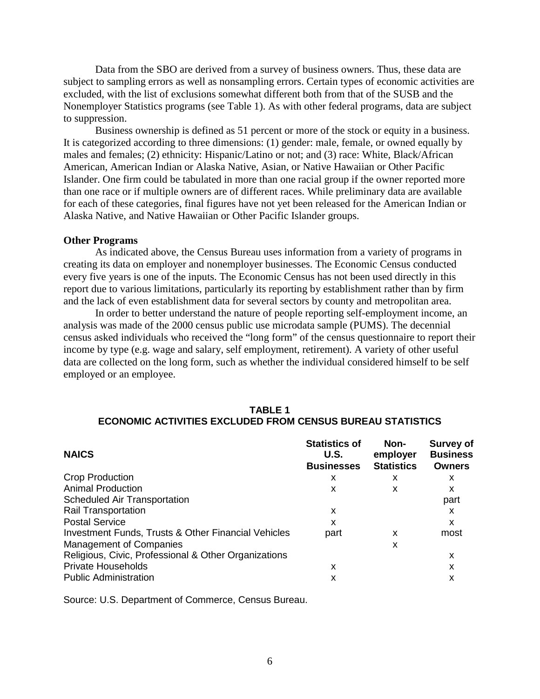Data from the SBO are derived from a survey of business owners. Thus, these data are subject to sampling errors as well as nonsampling errors. Certain types of economic activities are excluded, with the list of exclusions somewhat different both from that of the SUSB and the Nonemployer Statistics programs (see Table 1). As with other federal programs, data are subject to suppression.

Business ownership is defined as 51 percent or more of the stock or equity in a business. It is categorized according to three dimensions: (1) gender: male, female, or owned equally by males and females; (2) ethnicity: Hispanic/Latino or not; and (3) race: White, Black/African American, American Indian or Alaska Native, Asian, or Native Hawaiian or Other Pacific Islander. One firm could be tabulated in more than one racial group if the owner reported more than one race or if multiple owners are of different races. While preliminary data are available for each of these categories, final figures have not yet been released for the American Indian or Alaska Native, and Native Hawaiian or Other Pacific Islander groups.

#### **Other Programs**

As indicated above, the Census Bureau uses information from a variety of programs in creating its data on employer and nonemployer businesses. The Economic Census conducted every five years is one of the inputs. The Economic Census has not been used directly in this report due to various limitations, particularly its reporting by establishment rather than by firm and the lack of even establishment data for several sectors by county and metropolitan area.

In order to better understand the nature of people reporting self-employment income, an analysis was made of the 2000 census public use microdata sample (PUMS). The decennial census asked individuals who received the "long form" of the census questionnaire to report their income by type (e.g. wage and salary, self employment, retirement). A variety of other useful data are collected on the long form, such as whether the individual considered himself to be self employed or an employee.

# **TABLE 1 ECONOMIC ACTIVITIES EXCLUDED FROM CENSUS BUREAU STATISTICS**

| <b>NAICS</b>                                         | <b>Statistics of</b><br>U.S.<br><b>Businesses</b> | Non-<br>employer<br><b>Statistics</b> | <b>Survey of</b><br><b>Business</b><br><b>Owners</b> |
|------------------------------------------------------|---------------------------------------------------|---------------------------------------|------------------------------------------------------|
| <b>Crop Production</b>                               | х                                                 | x                                     | x                                                    |
| <b>Animal Production</b>                             | x                                                 | x                                     | x                                                    |
| Scheduled Air Transportation                         |                                                   |                                       | part                                                 |
| <b>Rail Transportation</b>                           | x                                                 |                                       | x                                                    |
| <b>Postal Service</b>                                | X                                                 |                                       | x                                                    |
| Investment Funds, Trusts & Other Financial Vehicles  | part                                              | x                                     | most                                                 |
| <b>Management of Companies</b>                       |                                                   | x                                     |                                                      |
| Religious, Civic, Professional & Other Organizations |                                                   |                                       | x                                                    |
| <b>Private Households</b>                            | x                                                 |                                       | x                                                    |
| <b>Public Administration</b>                         | х                                                 |                                       | х                                                    |

Source: U.S. Department of Commerce, Census Bureau.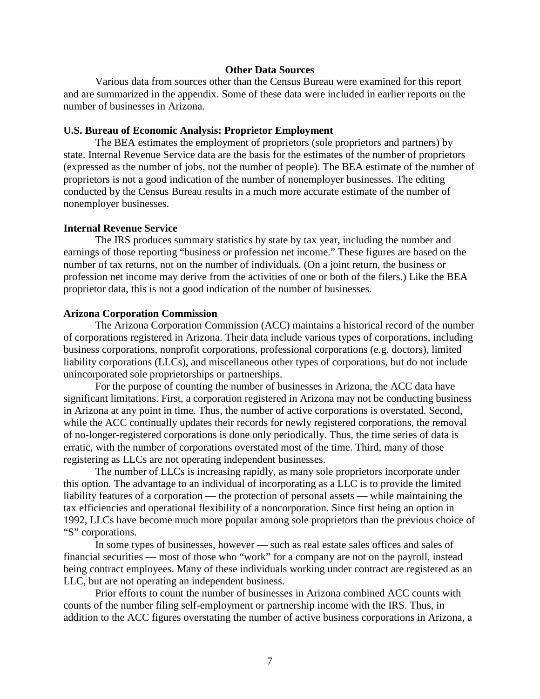# **Other Data Sources**

Various data from sources other than the Census Bureau were examined for this report and are summarized in the appendix. Some of these data were included in earlier reports on the number of businesses in Arizona.

#### **U.S. Bureau of Economic Analysis: Proprietor Employment**

The BEA estimates the employment of proprietors (sole proprietors and partners) by state. Internal Revenue Service data are the basis for the estimates of the number of proprietors (expressed as the number of jobs, not the number of people). The BEA estimate of the number of proprietors is not a good indication of the number of nonemployer businesses. The editing conducted by the Census Bureau results in a much more accurate estimate of the number of nonemployer businesses.

#### **Internal Revenue Service**

The IRS produces summary statistics by state by tax year, including the number and earnings of those reporting "business or profession net income." These figures are based on the number of tax returns, not on the number of individuals. (On a joint return, the business or profession net income may derive from the activities of one or both of the filers.) Like the BEA proprietor data, this is not a good indication of the number of businesses.

#### **Arizona Corporation Commission**

The Arizona Corporation Commission (ACC) maintains a historical record of the number of corporations registered in Arizona. Their data include various types of corporations, including business corporations, nonprofit corporations, professional corporations (e.g. doctors), limited liability corporations (LLCs), and miscellaneous other types of corporations, but do not include unincorporated sole proprietorships or partnerships.

For the purpose of counting the number of businesses in Arizona, the ACC data have significant limitations. First, a corporation registered in Arizona may not be conducting business in Arizona at any point in time. Thus, the number of active corporations is overstated. Second, while the ACC continually updates their records for newly registered corporations, the removal of no-longer-registered corporations is done only periodically. Thus, the time series of data is erratic, with the number of corporations overstated most of the time. Third, many of those registering as LLCs are not operating independent businesses.

The number of LLCs is increasing rapidly, as many sole proprietors incorporate under this option. The advantage to an individual of incorporating as a LLC is to provide the limited liability features of a corporation — the protection of personal assets — while maintaining the tax efficiencies and operational flexibility of a noncorporation. Since first being an option in 1992, LLCs have become much more popular among sole proprietors than the previous choice of "S" corporations.

In some types of businesses, however — such as real estate sales offices and sales of financial securities — most of those who "work" for a company are not on the payroll, instead being contract employees. Many of these individuals working under contract are registered as an LLC, but are not operating an independent business.

Prior efforts to count the number of businesses in Arizona combined ACC counts with counts of the number filing self-employment or partnership income with the IRS. Thus, in addition to the ACC figures overstating the number of active business corporations in Arizona, a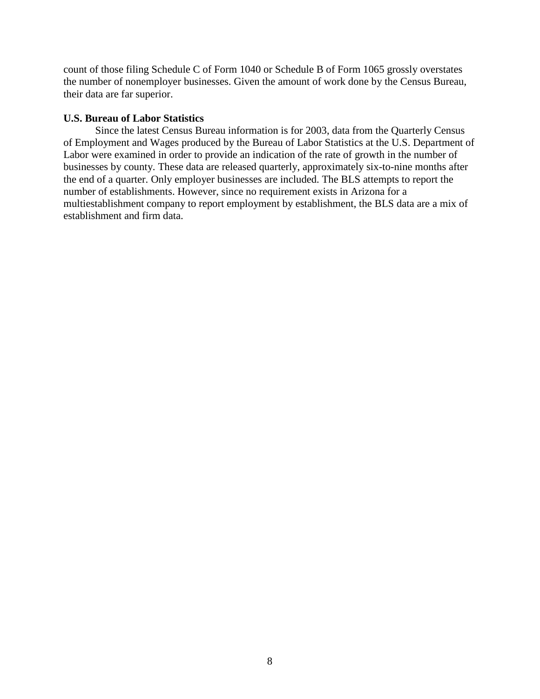count of those filing Schedule C of Form 1040 or Schedule B of Form 1065 grossly overstates the number of nonemployer businesses. Given the amount of work done by the Census Bureau, their data are far superior.

# **U.S. Bureau of Labor Statistics**

Since the latest Census Bureau information is for 2003, data from the Quarterly Census of Employment and Wages produced by the Bureau of Labor Statistics at the U.S. Department of Labor were examined in order to provide an indication of the rate of growth in the number of businesses by county. These data are released quarterly, approximately six-to-nine months after the end of a quarter. Only employer businesses are included. The BLS attempts to report the number of establishments. However, since no requirement exists in Arizona for a multiestablishment company to report employment by establishment, the BLS data are a mix of establishment and firm data.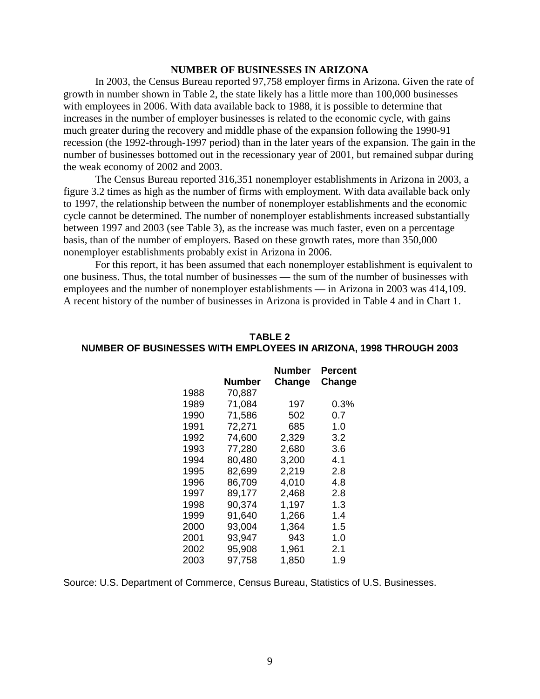# **NUMBER OF BUSINESSES IN ARIZONA**

In 2003, the Census Bureau reported 97,758 employer firms in Arizona. Given the rate of growth in number shown in Table 2, the state likely has a little more than 100,000 businesses with employees in 2006. With data available back to 1988, it is possible to determine that increases in the number of employer businesses is related to the economic cycle, with gains much greater during the recovery and middle phase of the expansion following the 1990-91 recession (the 1992-through-1997 period) than in the later years of the expansion. The gain in the number of businesses bottomed out in the recessionary year of 2001, but remained subpar during the weak economy of 2002 and 2003.

The Census Bureau reported 316,351 nonemployer establishments in Arizona in 2003, a figure 3.2 times as high as the number of firms with employment. With data available back only to 1997, the relationship between the number of nonemployer establishments and the economic cycle cannot be determined. The number of nonemployer establishments increased substantially between 1997 and 2003 (see Table 3), as the increase was much faster, even on a percentage basis, than of the number of employers. Based on these growth rates, more than 350,000 nonemployer establishments probably exist in Arizona in 2006.

For this report, it has been assumed that each nonemployer establishment is equivalent to one business. Thus, the total number of businesses — the sum of the number of businesses with employees and the number of nonemployer establishments — in Arizona in 2003 was 414,109. A recent history of the number of businesses in Arizona is provided in Table 4 and in Chart 1.

|      |        | Number | Percent |
|------|--------|--------|---------|
|      | Number | Change | Change  |
| 1988 | 70,887 |        |         |
| 1989 | 71,084 | 197    | $0.3\%$ |
| 1990 | 71,586 | 502    | 0.7     |
| 1991 | 72,271 | 685    | 1.0     |
| 1992 | 74,600 | 2,329  | 3.2     |
| 1993 | 77,280 | 2,680  | 3.6     |
| 1994 | 80,480 | 3,200  | 4.1     |
| 1995 | 82,699 | 2,219  | 2.8     |
| 1996 | 86,709 | 4,010  | 4.8     |
| 1997 | 89,177 | 2,468  | 2.8     |
| 1998 | 90,374 | 1,197  | 1.3     |
| 1999 | 91,640 | 1,266  | 1.4     |
| 2000 | 93,004 | 1,364  | 1.5     |
| 2001 | 93,947 | 943    | 1.0     |
| 2002 | 95,908 | 1,961  | 2.1     |
| 2003 | 97,758 | 1,850  | 1.9     |

### **TABLE 2 NUMBER OF BUSINESSES WITH EMPLOYEES IN ARIZONA, 1998 THROUGH 2003**

Source: U.S. Department of Commerce, Census Bureau, Statistics of U.S. Businesses.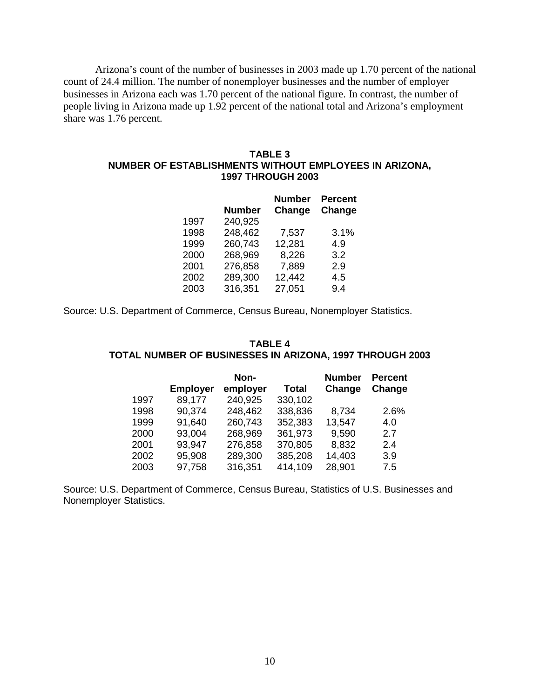Arizona's count of the number of businesses in 2003 made up 1.70 percent of the national count of 24.4 million. The number of nonemployer businesses and the number of employer businesses in Arizona each was 1.70 percent of the national figure. In contrast, the number of people living in Arizona made up 1.92 percent of the national total and Arizona's employment share was 1.76 percent.

#### **TABLE 3 NUMBER OF ESTABLISHMENTS WITHOUT EMPLOYEES IN ARIZONA, 1997 THROUGH 2003**

|      | <b>Number</b> | <b>Number</b><br>Change | <b>Percent</b><br>Change |
|------|---------------|-------------------------|--------------------------|
| 1997 | 240,925       |                         |                          |
| 1998 | 248,462       | 7,537                   | 3.1%                     |
| 1999 | 260,743       | 12,281                  | 4.9                      |
| 2000 | 268,969       | 8,226                   | 3.2                      |
| 2001 | 276,858       | 7,889                   | 2.9                      |
| 2002 | 289,300       | 12,442                  | 4.5                      |
| 2003 | 316,351       | 27,051                  | 9.4                      |

Source: U.S. Department of Commerce, Census Bureau, Nonemployer Statistics.

#### **TABLE 4 TOTAL NUMBER OF BUSINESSES IN ARIZONA, 1997 THROUGH 2003**

|      |                 | Non-     |              | <b>Number</b> | <b>Percent</b> |
|------|-----------------|----------|--------------|---------------|----------------|
|      | <b>Employer</b> | employer | <b>Total</b> | Change        | Change         |
| 1997 | 89,177          | 240,925  | 330,102      |               |                |
| 1998 | 90,374          | 248,462  | 338,836      | 8,734         | 2.6%           |
| 1999 | 91,640          | 260,743  | 352,383      | 13,547        | 4.0            |
| 2000 | 93,004          | 268,969  | 361,973      | 9,590         | 2.7            |
| 2001 | 93,947          | 276,858  | 370,805      | 8,832         | 2.4            |
| 2002 | 95,908          | 289,300  | 385,208      | 14,403        | 3.9            |
| 2003 | 97,758          | 316,351  | 414,109      | 28,901        | 7.5            |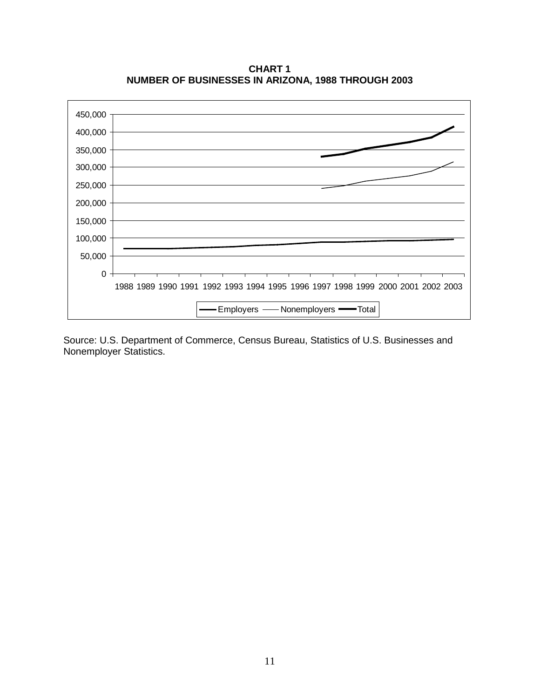**CHART 1 NUMBER OF BUSINESSES IN ARIZONA, 1988 THROUGH 2003**

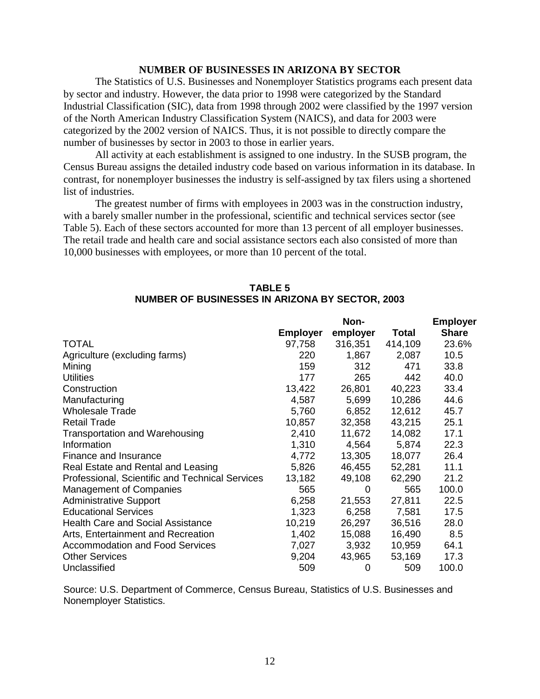# **NUMBER OF BUSINESSES IN ARIZONA BY SECTOR**

The Statistics of U.S. Businesses and Nonemployer Statistics programs each present data by sector and industry. However, the data prior to 1998 were categorized by the Standard Industrial Classification (SIC), data from 1998 through 2002 were classified by the 1997 version of the North American Industry Classification System (NAICS), and data for 2003 were categorized by the 2002 version of NAICS. Thus, it is not possible to directly compare the number of businesses by sector in 2003 to those in earlier years.

All activity at each establishment is assigned to one industry. In the SUSB program, the Census Bureau assigns the detailed industry code based on various information in its database. In contrast, for nonemployer businesses the industry is self-assigned by tax filers using a shortened list of industries.

The greatest number of firms with employees in 2003 was in the construction industry, with a barely smaller number in the professional, scientific and technical services sector (see Table 5). Each of these sectors accounted for more than 13 percent of all employer businesses. The retail trade and health care and social assistance sectors each also consisted of more than 10,000 businesses with employees, or more than 10 percent of the total.

|                                                 |                 |          |         | — III pivyvi |
|-------------------------------------------------|-----------------|----------|---------|--------------|
|                                                 | <b>Employer</b> | employer | Total   | <b>Share</b> |
| <b>TOTAL</b>                                    | 97,758          | 316,351  | 414,109 | 23.6%        |
| Agriculture (excluding farms)                   | 220             | 1,867    | 2,087   | 10.5         |
| Mining                                          | 159             | 312      | 471     | 33.8         |
| <b>Utilities</b>                                | 177             | 265      | 442     | 40.0         |
| Construction                                    | 13,422          | 26,801   | 40,223  | 33.4         |
| Manufacturing                                   | 4,587           | 5,699    | 10,286  | 44.6         |
| <b>Wholesale Trade</b>                          | 5,760           | 6,852    | 12,612  | 45.7         |
| <b>Retail Trade</b>                             | 10,857          | 32,358   | 43,215  | 25.1         |
| <b>Transportation and Warehousing</b>           | 2,410           | 11,672   | 14,082  | 17.1         |
| Information                                     | 1,310           | 4,564    | 5,874   | 22.3         |
| Finance and Insurance                           | 4,772           | 13,305   | 18,077  | 26.4         |
| Real Estate and Rental and Leasing              | 5,826           | 46,455   | 52,281  | 11.1         |
| Professional, Scientific and Technical Services | 13,182          | 49,108   | 62,290  | 21.2         |
| <b>Management of Companies</b>                  | 565             | 0        | 565     | 100.0        |
| <b>Administrative Support</b>                   | 6,258           | 21,553   | 27,811  | 22.5         |
| <b>Educational Services</b>                     | 1,323           | 6,258    | 7,581   | 17.5         |
| <b>Health Care and Social Assistance</b>        | 10,219          | 26,297   | 36,516  | 28.0         |
| Arts, Entertainment and Recreation              | 1,402           | 15,088   | 16,490  | 8.5          |
| <b>Accommodation and Food Services</b>          | 7,027           | 3,932    | 10,959  | 64.1         |
| <b>Other Services</b>                           | 9,204           | 43,965   | 53,169  | 17.3         |
| Unclassified                                    | 509             | 0        | 509     | 100.0        |

# **TABLE 5 NUMBER OF BUSINESSES IN ARIZONA BY SECTOR, 2003**

**Non-**

**Employer**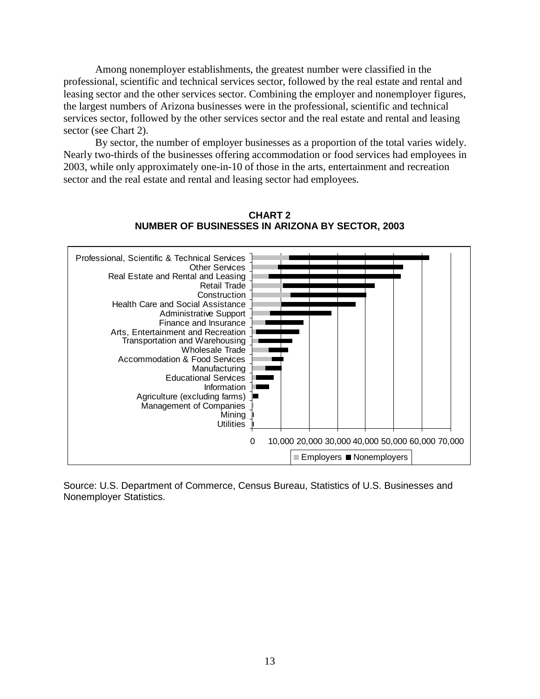Among nonemployer establishments, the greatest number were classified in the professional, scientific and technical services sector, followed by the real estate and rental and leasing sector and the other services sector. Combining the employer and nonemployer figures, the largest numbers of Arizona businesses were in the professional, scientific and technical services sector, followed by the other services sector and the real estate and rental and leasing sector (see Chart 2).

By sector, the number of employer businesses as a proportion of the total varies widely. Nearly two-thirds of the businesses offering accommodation or food services had employees in 2003, while only approximately one-in-10 of those in the arts, entertainment and recreation sector and the real estate and rental and leasing sector had employees.



**CHART 2 NUMBER OF BUSINESSES IN ARIZONA BY SECTOR, 2003**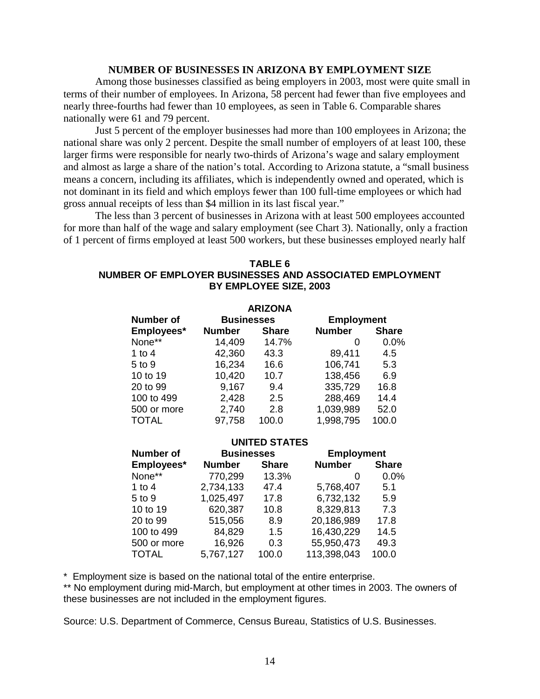# **NUMBER OF BUSINESSES IN ARIZONA BY EMPLOYMENT SIZE**

Among those businesses classified as being employers in 2003, most were quite small in terms of their number of employees. In Arizona, 58 percent had fewer than five employees and nearly three-fourths had fewer than 10 employees, as seen in Table 6. Comparable shares nationally were 61 and 79 percent.

Just 5 percent of the employer businesses had more than 100 employees in Arizona; the national share was only 2 percent. Despite the small number of employers of at least 100, these larger firms were responsible for nearly two-thirds of Arizona's wage and salary employment and almost as large a share of the nation's total. According to Arizona statute, a "small business means a concern, including its affiliates, which is independently owned and operated, which is not dominant in its field and which employs fewer than 100 full-time employees or which had gross annual receipts of less than \$4 million in its last fiscal year."

The less than 3 percent of businesses in Arizona with at least 500 employees accounted for more than half of the wage and salary employment (see Chart 3). Nationally, only a fraction of 1 percent of firms employed at least 500 workers, but these businesses employed nearly half

# **TABLE 6 NUMBER OF EMPLOYER BUSINESSES AND ASSOCIATED EMPLOYMENT BY EMPLOYEE SIZE, 2003**

| <b>ARIZONA</b>   |                   |              |                   |              |
|------------------|-------------------|--------------|-------------------|--------------|
| <b>Number of</b> | <b>Businesses</b> |              | <b>Employment</b> |              |
| Employees*       | <b>Number</b>     | <b>Share</b> | <b>Number</b>     | <b>Share</b> |
| None**           | 14,409            | 14.7%        | O                 | 0.0%         |
| 1 to 4           | 42,360            | 43.3         | 89,411            | 4.5          |
| 5 to 9           | 16,234            | 16.6         | 106,741           | 5.3          |
| 10 to 19         | 10,420            | 10.7         | 138,456           | 6.9          |
| 20 to 99         | 9,167             | 9.4          | 335,729           | 16.8         |
| 100 to 499       | 2,428             | 2.5          | 288,469           | 14.4         |
| 500 or more      | 2,740             | 2.8          | 1,039,989         | 52.0         |
| <b>TOTAL</b>     | 97,758            | 100.0        | 1,998,795         | 100.0        |

#### **UNITED STATES**

| <b>Number of</b> | <b>Businesses</b> |              | <b>Employment</b> |              |
|------------------|-------------------|--------------|-------------------|--------------|
| Employees*       | <b>Number</b>     | <b>Share</b> | <b>Number</b>     | <b>Share</b> |
| None**           | 770,299           | 13.3%        | 0                 | 0.0%         |
| 1 to $4$         | 2,734,133         | 47.4         | 5,768,407         | 5.1          |
| 5 to 9           | 1,025,497         | 17.8         | 6,732,132         | 5.9          |
| 10 to 19         | 620,387           | 10.8         | 8,329,813         | 7.3          |
| 20 to 99         | 515,056           | 8.9          | 20,186,989        | 17.8         |
| 100 to 499       | 84,829            | 1.5          | 16,430,229        | 14.5         |
| 500 or more      | 16,926            | 0.3          | 55,950,473        | 49.3         |
| <b>TOTAL</b>     | 5,767,127         | 100.0        | 113,398,043       | 100.0        |

\* Employment size is based on the national total of the entire enterprise.

\*\* No employment during mid-March, but employment at other times in 2003. The owners of these businesses are not included in the employment figures.

Source: U.S. Department of Commerce, Census Bureau, Statistics of U.S. Businesses.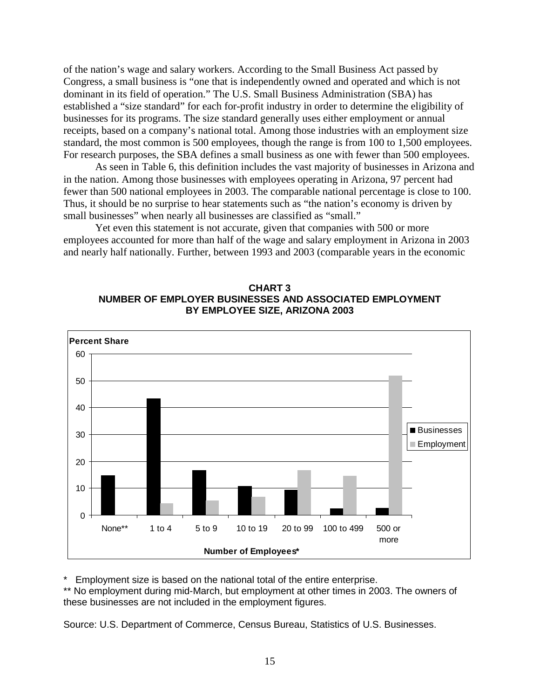of the nation's wage and salary workers. According to the Small Business Act passed by Congress, a small business is "one that is independently owned and operated and which is not dominant in its field of operation." The U.S. Small Business Administration (SBA) has established a "size standard" for each for-profit industry in order to determine the eligibility of businesses for its programs. The size standard generally uses either employment or annual receipts, based on a company's national total. Among those industries with an employment size standard, the most common is 500 employees, though the range is from 100 to 1,500 employees. For research purposes, the SBA defines a small business as one with fewer than 500 employees.

As seen in Table 6, this definition includes the vast majority of businesses in Arizona and in the nation. Among those businesses with employees operating in Arizona, 97 percent had fewer than 500 national employees in 2003. The comparable national percentage is close to 100. Thus, it should be no surprise to hear statements such as "the nation's economy is driven by small businesses" when nearly all businesses are classified as "small."

Yet even this statement is not accurate, given that companies with 500 or more employees accounted for more than half of the wage and salary employment in Arizona in 2003 and nearly half nationally. Further, between 1993 and 2003 (comparable years in the economic





Employment size is based on the national total of the entire enterprise.

\*\* No employment during mid-March, but employment at other times in 2003. The owners of these businesses are not included in the employment figures.

Source: U.S. Department of Commerce, Census Bureau, Statistics of U.S. Businesses.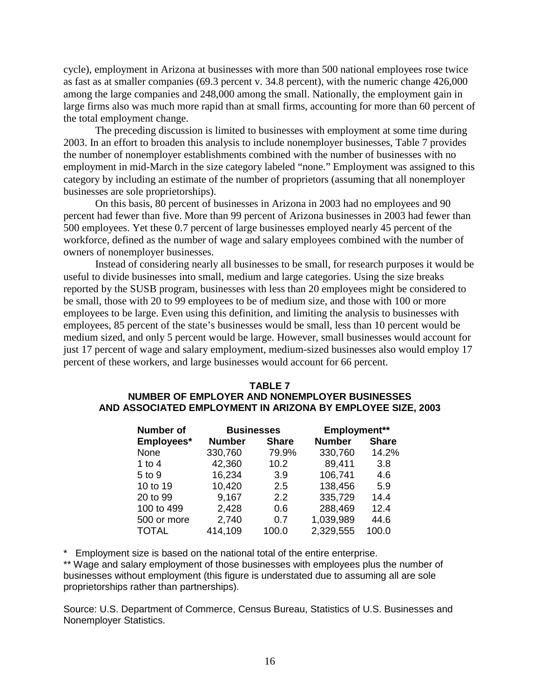cycle), employment in Arizona at businesses with more than 500 national employees rose twice as fast as at smaller companies (69.3 percent v. 34.8 percent), with the numeric change 426,000 among the large companies and 248,000 among the small. Nationally, the employment gain in large firms also was much more rapid than at small firms, accounting for more than 60 percent of the total employment change.

The preceding discussion is limited to businesses with employment at some time during 2003. In an effort to broaden this analysis to include nonemployer businesses, Table 7 provides the number of nonemployer establishments combined with the number of businesses with no employment in mid-March in the size category labeled "none." Employment was assigned to this category by including an estimate of the number of proprietors (assuming that all nonemployer businesses are sole proprietorships).

On this basis, 80 percent of businesses in Arizona in 2003 had no employees and 90 percent had fewer than five. More than 99 percent of Arizona businesses in 2003 had fewer than 500 employees. Yet these 0.7 percent of large businesses employed nearly 45 percent of the workforce, defined as the number of wage and salary employees combined with the number of owners of nonemployer businesses.

Instead of considering nearly all businesses to be small, for research purposes it would be useful to divide businesses into small, medium and large categories. Using the size breaks reported by the SUSB program, businesses with less than 20 employees might be considered to be small, those with 20 to 99 employees to be of medium size, and those with 100 or more employees to be large. Even using this definition, and limiting the analysis to businesses with employees, 85 percent of the state's businesses would be small, less than 10 percent would be medium sized, and only 5 percent would be large. However, small businesses would account for just 17 percent of wage and salary employment, medium-sized businesses also would employ 17 percent of these workers, and large businesses would account for 66 percent.

# **TABLE 7 NUMBER OF EMPLOYER AND NONEMPLOYER BUSINESSES AND ASSOCIATED EMPLOYMENT IN ARIZONA BY EMPLOYEE SIZE, 2003**

| <b>Number of</b> | <b>Businesses</b> |              | Employment**  |              |
|------------------|-------------------|--------------|---------------|--------------|
| Employees*       | <b>Number</b>     | <b>Share</b> | <b>Number</b> | <b>Share</b> |
| None             | 330,760           | 79.9%        | 330,760       | 14.2%        |
| 1 to 4           | 42,360            | 10.2         | 89,411        | 3.8          |
| 5 to 9           | 16,234            | 3.9          | 106,741       | 4.6          |
| 10 to 19         | 10,420            | 2.5          | 138,456       | 5.9          |
| 20 to 99         | 9,167             | 2.2          | 335,729       | 14.4         |
| 100 to 499       | 2,428             | 0.6          | 288,469       | 12.4         |
| 500 or more      | 2,740             | 0.7          | 1,039,989     | 44.6         |
| <b>TOTAL</b>     | 414,109           | 100.0        | 2,329,555     | 100.0        |

\* Employment size is based on the national total of the entire enterprise.

\*\* Wage and salary employment of those businesses with employees plus the number of businesses without employment (this figure is understated due to assuming all are sole proprietorships rather than partnerships).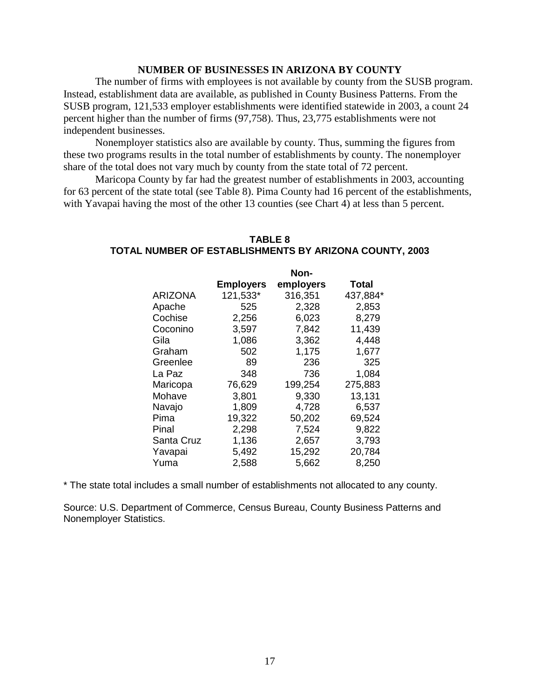# **NUMBER OF BUSINESSES IN ARIZONA BY COUNTY**

The number of firms with employees is not available by county from the SUSB program. Instead, establishment data are available, as published in County Business Patterns. From the SUSB program, 121,533 employer establishments were identified statewide in 2003, a count 24 percent higher than the number of firms (97,758). Thus, 23,775 establishments were not independent businesses.

Nonemployer statistics also are available by county. Thus, summing the figures from these two programs results in the total number of establishments by county. The nonemployer share of the total does not vary much by county from the state total of 72 percent.

Maricopa County by far had the greatest number of establishments in 2003, accounting for 63 percent of the state total (see Table 8). Pima County had 16 percent of the establishments, with Yavapai having the most of the other 13 counties (see Chart 4) at less than 5 percent.

#### **TABLE 8 TOTAL NUMBER OF ESTABLISHMENTS BY ARIZONA COUNTY, 2003**

|                | Non-             |           |              |  |  |
|----------------|------------------|-----------|--------------|--|--|
|                | <b>Employers</b> | employers | <b>Total</b> |  |  |
| <b>ARIZONA</b> | 121,533*         | 316,351   | 437,884*     |  |  |
| Apache         | 525              | 2,328     | 2,853        |  |  |
| Cochise        | 2,256            | 6,023     | 8,279        |  |  |
| Coconino       | 3,597            | 7,842     | 11,439       |  |  |
| Gila           | 1,086            | 3,362     | 4,448        |  |  |
| Graham         | 502              | 1,175     | 1,677        |  |  |
| Greenlee       | 89               | 236       | 325          |  |  |
| La Paz         | 348              | 736       | 1,084        |  |  |
| Maricopa       | 76,629           | 199,254   | 275,883      |  |  |
| Mohave         | 3,801            | 9,330     | 13,131       |  |  |
| Navajo         | 1,809            | 4,728     | 6,537        |  |  |
| Pima           | 19,322           | 50,202    | 69,524       |  |  |
| Pinal          | 2,298            | 7,524     | 9,822        |  |  |
| Santa Cruz     | 1,136            | 2,657     | 3,793        |  |  |
| Yavapai        | 5,492            | 15,292    | 20,784       |  |  |
| Yuma           | 2,588            | 5,662     | 8,250        |  |  |

\* The state total includes a small number of establishments not allocated to any county.

Source: U.S. Department of Commerce, Census Bureau, County Business Patterns and Nonemployer Statistics.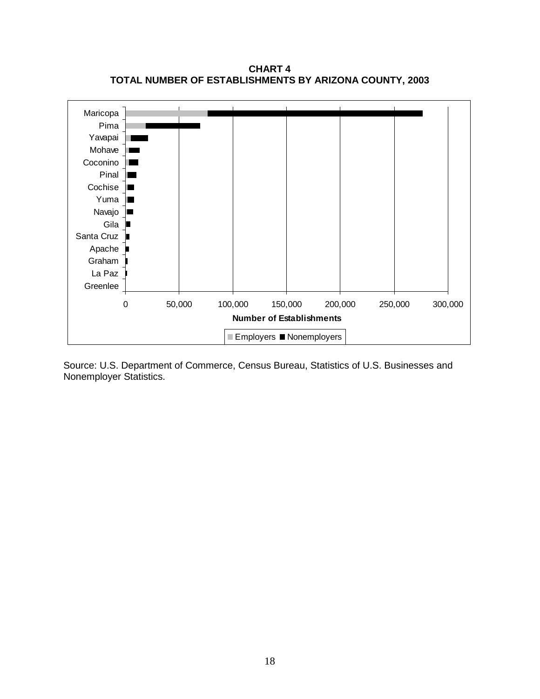**CHART 4 TOTAL NUMBER OF ESTABLISHMENTS BY ARIZONA COUNTY, 2003**

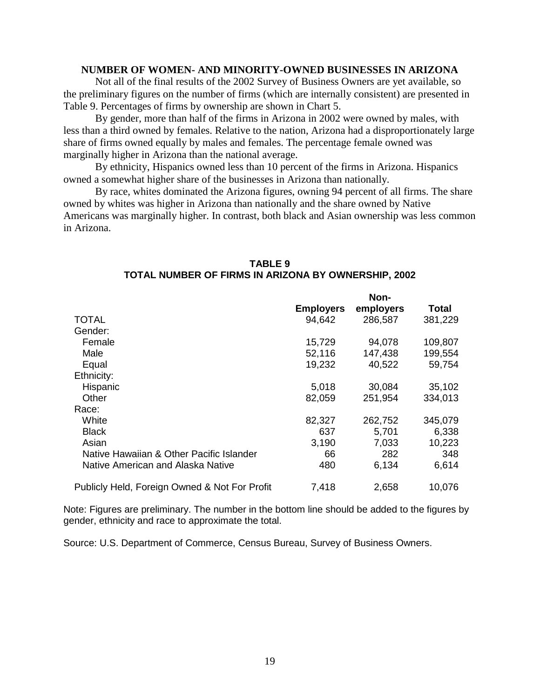#### **NUMBER OF WOMEN- AND MINORITY-OWNED BUSINESSES IN ARIZONA**

Not all of the final results of the 2002 Survey of Business Owners are yet available, so the preliminary figures on the number of firms (which are internally consistent) are presented in Table 9. Percentages of firms by ownership are shown in Chart 5.

By gender, more than half of the firms in Arizona in 2002 were owned by males, with less than a third owned by females. Relative to the nation, Arizona had a disproportionately large share of firms owned equally by males and females. The percentage female owned was marginally higher in Arizona than the national average.

By ethnicity, Hispanics owned less than 10 percent of the firms in Arizona. Hispanics owned a somewhat higher share of the businesses in Arizona than nationally.

By race, whites dominated the Arizona figures, owning 94 percent of all firms. The share owned by whites was higher in Arizona than nationally and the share owned by Native Americans was marginally higher. In contrast, both black and Asian ownership was less common in Arizona.

|                                               | Non-             |           |         |
|-----------------------------------------------|------------------|-----------|---------|
|                                               | <b>Employers</b> | employers | Total   |
| <b>TOTAL</b>                                  | 94,642           | 286,587   | 381,229 |
| Gender:                                       |                  |           |         |
| Female                                        | 15,729           | 94,078    | 109,807 |
| Male                                          | 52,116           | 147,438   | 199,554 |
| Equal                                         | 19,232           | 40,522    | 59,754  |
| Ethnicity:                                    |                  |           |         |
| Hispanic                                      | 5,018            | 30,084    | 35,102  |
| Other                                         | 82,059           | 251,954   | 334,013 |
| Race:                                         |                  |           |         |
| White                                         | 82,327           | 262,752   | 345,079 |
| <b>Black</b>                                  | 637              | 5,701     | 6,338   |
| Asian                                         | 3,190            | 7,033     | 10,223  |
| Native Hawaiian & Other Pacific Islander      | 66               | 282       | 348     |
| Native American and Alaska Native             | 480              | 6,134     | 6,614   |
| Publicly Held, Foreign Owned & Not For Profit | 7,418            | 2,658     | 10,076  |

#### **TABLE 9 TOTAL NUMBER OF FIRMS IN ARIZONA BY OWNERSHIP, 2002**

Note: Figures are preliminary. The number in the bottom line should be added to the figures by gender, ethnicity and race to approximate the total.

Source: U.S. Department of Commerce, Census Bureau, Survey of Business Owners.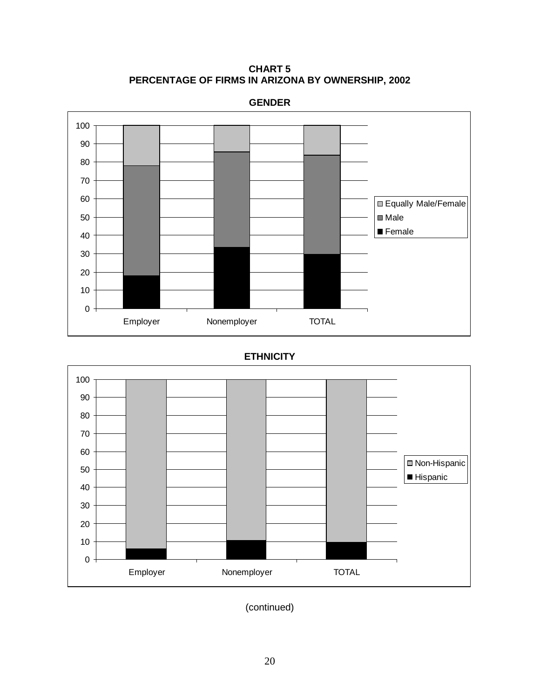**CHART 5 PERCENTAGE OF FIRMS IN ARIZONA BY OWNERSHIP, 2002**



#### **GENDER**

# **ETHNICITY**



(continued)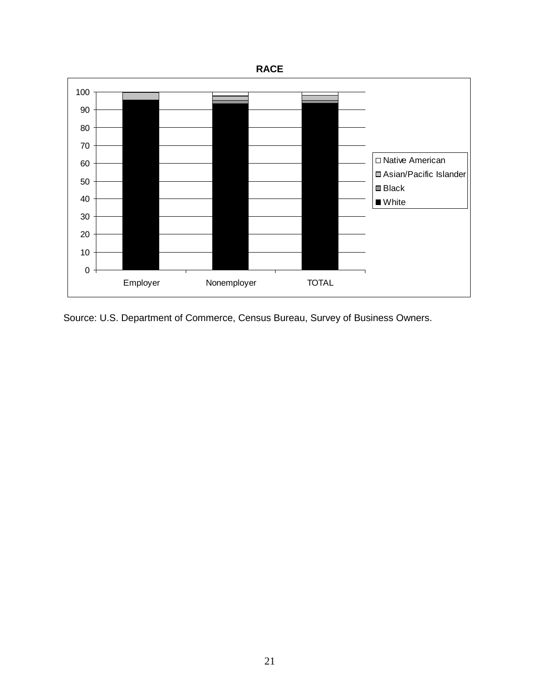

Source: U.S. Department of Commerce, Census Bureau, Survey of Business Owners.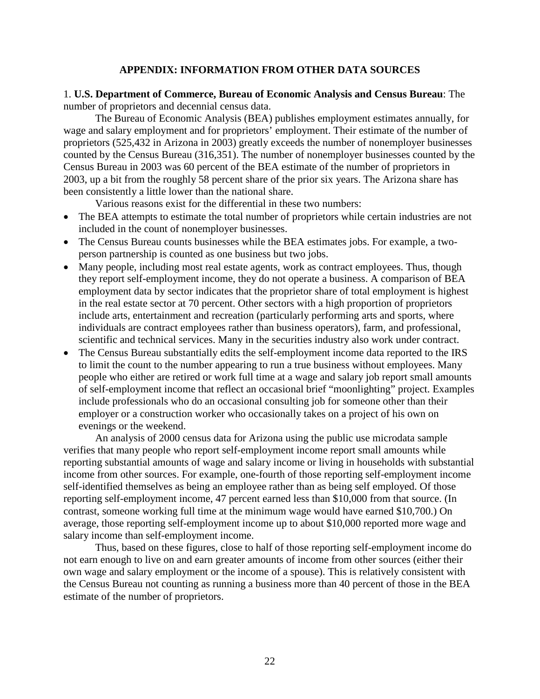# **APPENDIX: INFORMATION FROM OTHER DATA SOURCES**

1. **U.S. Department of Commerce, Bureau of Economic Analysis and Census Bureau**: The number of proprietors and decennial census data.

The Bureau of Economic Analysis (BEA) publishes employment estimates annually, for wage and salary employment and for proprietors' employment. Their estimate of the number of proprietors (525,432 in Arizona in 2003) greatly exceeds the number of nonemployer businesses counted by the Census Bureau (316,351). The number of nonemployer businesses counted by the Census Bureau in 2003 was 60 percent of the BEA estimate of the number of proprietors in 2003, up a bit from the roughly 58 percent share of the prior six years. The Arizona share has been consistently a little lower than the national share.

Various reasons exist for the differential in these two numbers:

- The BEA attempts to estimate the total number of proprietors while certain industries are not included in the count of nonemployer businesses.
- The Census Bureau counts businesses while the BEA estimates jobs. For example, a twoperson partnership is counted as one business but two jobs.
- Many people, including most real estate agents, work as contract employees. Thus, though they report self-employment income, they do not operate a business. A comparison of BEA employment data by sector indicates that the proprietor share of total employment is highest in the real estate sector at 70 percent. Other sectors with a high proportion of proprietors include arts, entertainment and recreation (particularly performing arts and sports, where individuals are contract employees rather than business operators), farm, and professional, scientific and technical services. Many in the securities industry also work under contract.
- The Census Bureau substantially edits the self-employment income data reported to the IRS to limit the count to the number appearing to run a true business without employees. Many people who either are retired or work full time at a wage and salary job report small amounts of self-employment income that reflect an occasional brief "moonlighting" project. Examples include professionals who do an occasional consulting job for someone other than their employer or a construction worker who occasionally takes on a project of his own on evenings or the weekend.

An analysis of 2000 census data for Arizona using the public use microdata sample verifies that many people who report self-employment income report small amounts while reporting substantial amounts of wage and salary income or living in households with substantial income from other sources. For example, one-fourth of those reporting self-employment income self-identified themselves as being an employee rather than as being self employed. Of those reporting self-employment income, 47 percent earned less than \$10,000 from that source. (In contrast, someone working full time at the minimum wage would have earned \$10,700.) On average, those reporting self-employment income up to about \$10,000 reported more wage and salary income than self-employment income.

Thus, based on these figures, close to half of those reporting self-employment income do not earn enough to live on and earn greater amounts of income from other sources (either their own wage and salary employment or the income of a spouse). This is relatively consistent with the Census Bureau not counting as running a business more than 40 percent of those in the BEA estimate of the number of proprietors.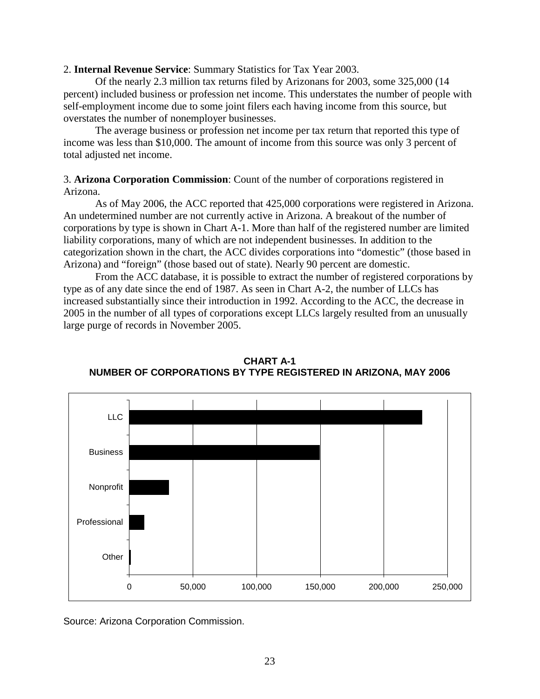2. **Internal Revenue Service**: Summary Statistics for Tax Year 2003.

Of the nearly 2.3 million tax returns filed by Arizonans for 2003, some 325,000 (14 percent) included business or profession net income. This understates the number of people with self-employment income due to some joint filers each having income from this source, but overstates the number of nonemployer businesses.

The average business or profession net income per tax return that reported this type of income was less than \$10,000. The amount of income from this source was only 3 percent of total adjusted net income.

# 3. **Arizona Corporation Commission**: Count of the number of corporations registered in Arizona.

As of May 2006, the ACC reported that 425,000 corporations were registered in Arizona. An undetermined number are not currently active in Arizona. A breakout of the number of corporations by type is shown in Chart A-1. More than half of the registered number are limited liability corporations, many of which are not independent businesses. In addition to the categorization shown in the chart, the ACC divides corporations into "domestic" (those based in Arizona) and "foreign" (those based out of state). Nearly 90 percent are domestic.

From the ACC database, it is possible to extract the number of registered corporations by type as of any date since the end of 1987. As seen in Chart A-2, the number of LLCs has increased substantially since their introduction in 1992. According to the ACC, the decrease in 2005 in the number of all types of corporations except LLCs largely resulted from an unusually large purge of records in November 2005.



**CHART A-1 NUMBER OF CORPORATIONS BY TYPE REGISTERED IN ARIZONA, MAY 2006**

Source: Arizona Corporation Commission.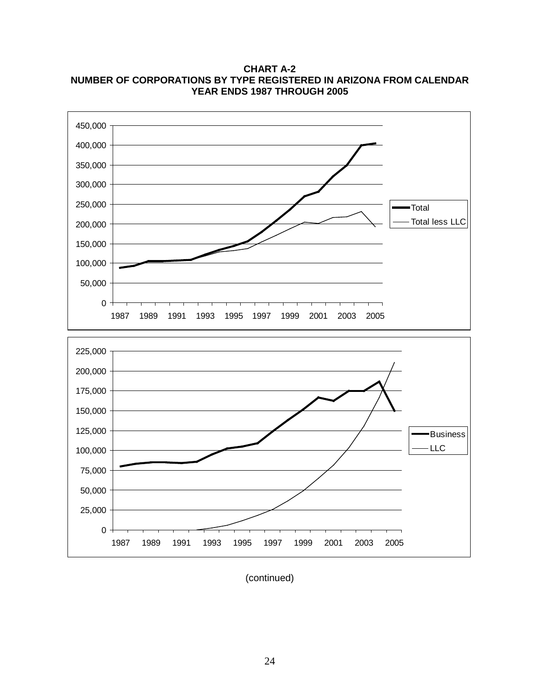450,000 400,000 350,000 300,000 250,000 Total Total less LLC 200,000 150,000 100,000 50,000  $0 -$ ┑ 1987 1989 1991 1993 1995 1997 1999 2001 2003 2005 225,000 200,000 175,000 150,000 125,000 Business LLC 100,000 75,000 50,000 25,000  $0 -$ 1987 1989 1991 1993 1995 1997 1999 2001 2003 2005

**CHART A-2 NUMBER OF CORPORATIONS BY TYPE REGISTERED IN ARIZONA FROM CALENDAR YEAR ENDS 1987 THROUGH 2005**

(continued)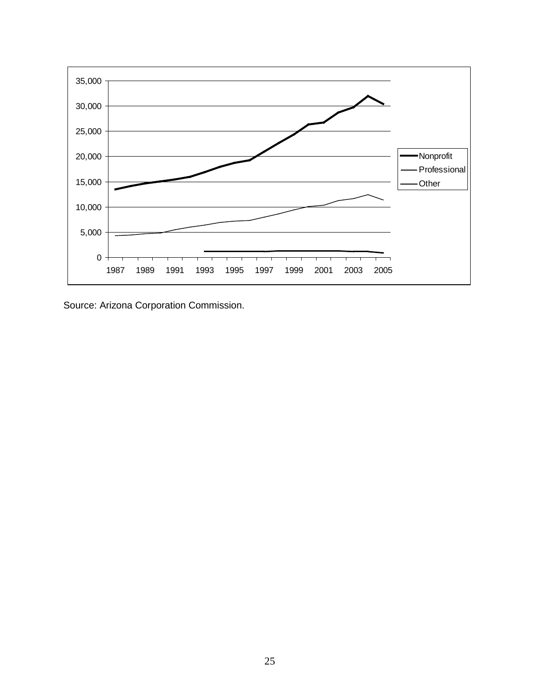

Source: Arizona Corporation Commission.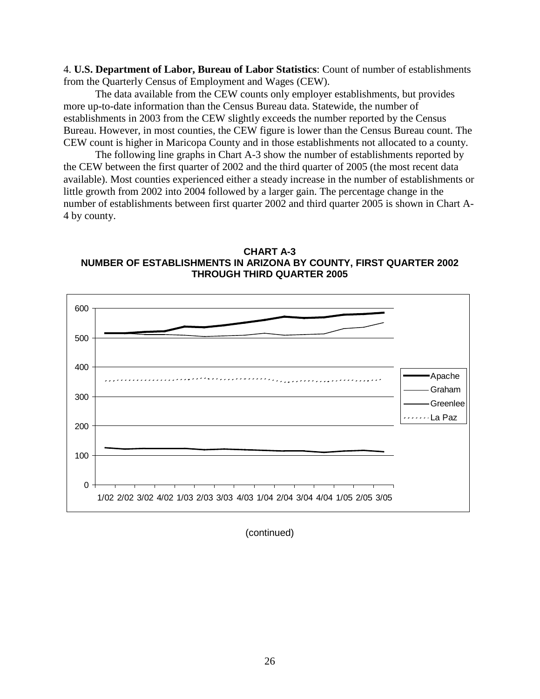4. **U.S. Department of Labor, Bureau of Labor Statistics**: Count of number of establishments from the Quarterly Census of Employment and Wages (CEW).

The data available from the CEW counts only employer establishments, but provides more up-to-date information than the Census Bureau data. Statewide, the number of establishments in 2003 from the CEW slightly exceeds the number reported by the Census Bureau. However, in most counties, the CEW figure is lower than the Census Bureau count. The CEW count is higher in Maricopa County and in those establishments not allocated to a county.

The following line graphs in Chart A-3 show the number of establishments reported by the CEW between the first quarter of 2002 and the third quarter of 2005 (the most recent data available). Most counties experienced either a steady increase in the number of establishments or little growth from 2002 into 2004 followed by a larger gain. The percentage change in the number of establishments between first quarter 2002 and third quarter 2005 is shown in Chart A-4 by county.





(continued)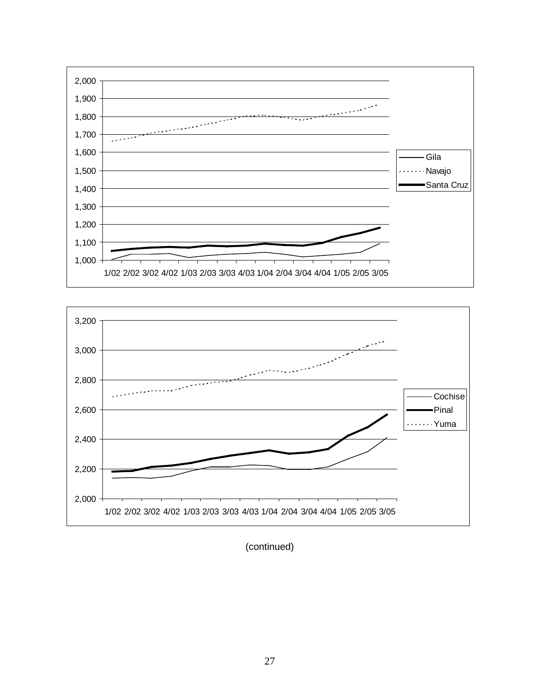



(continued)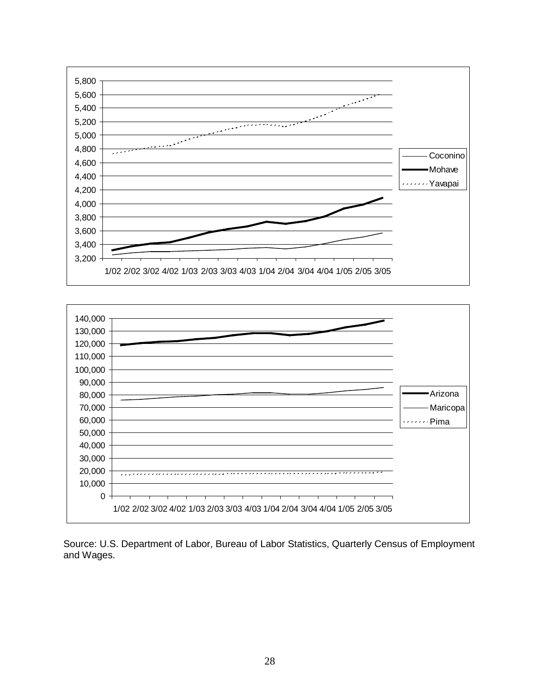



Source: U.S. Department of Labor, Bureau of Labor Statistics, Quarterly Census of Employment and Wages.